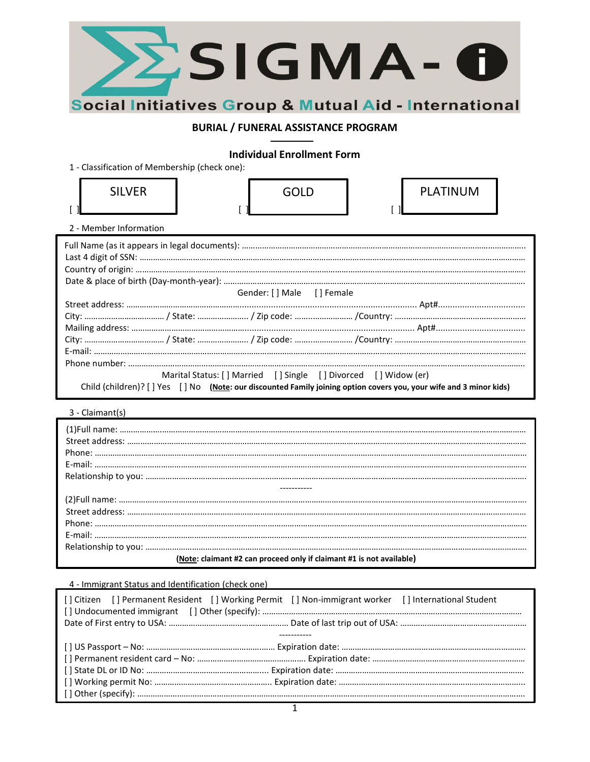

# **BURIAL / FUNERAL ASSISTANCE PROGRAM**

# **Individual Enrollment Form**

1 - Classification of Membership (check one):

| <b>SILVER</b> | <b>GOLD</b> | <b>PLATINUM</b> |
|---------------|-------------|-----------------|
| . .           |             | ы               |

2 - Member Information

| Gender: [ ] Male [ ] Female |                                                                                                                      |  |
|-----------------------------|----------------------------------------------------------------------------------------------------------------------|--|
|                             |                                                                                                                      |  |
|                             |                                                                                                                      |  |
|                             |                                                                                                                      |  |
|                             |                                                                                                                      |  |
|                             |                                                                                                                      |  |
|                             |                                                                                                                      |  |
|                             | Marital Status: [] Married [] Single [] Divorced [] Widow (er)                                                       |  |
|                             | Child (children)? [ ] Yes [ ] No (Note: our discounted Family joining option covers you, your wife and 3 minor kids) |  |

3 - Claimant(s)

| (Note: claimant #2 can proceed only if claimant #1 is not available) |  |  |  |
|----------------------------------------------------------------------|--|--|--|

## 4 - Immigrant Status and Identification (check one)

| [] Citizen [] Permanent Resident [] Working Permit [] Non-immigrant worker [] International Student |  |
|-----------------------------------------------------------------------------------------------------|--|
|                                                                                                     |  |
|                                                                                                     |  |
|                                                                                                     |  |
|                                                                                                     |  |
|                                                                                                     |  |
|                                                                                                     |  |
|                                                                                                     |  |